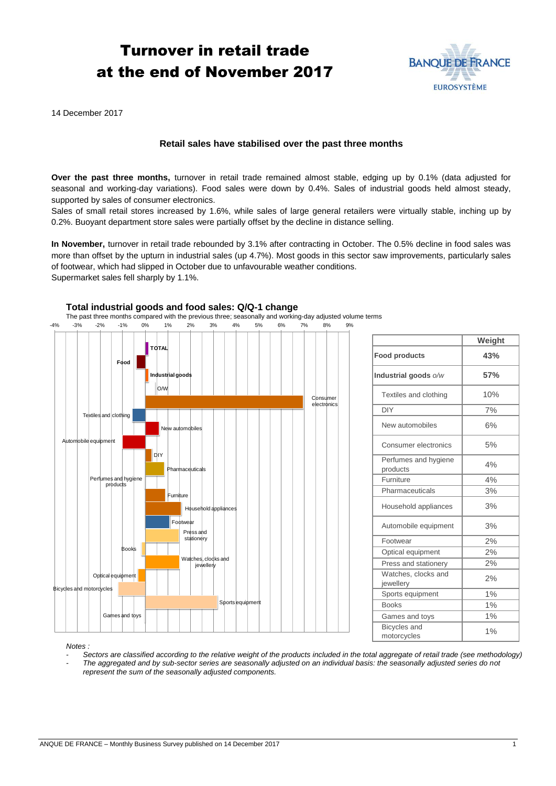# Turnover in retail trade at the end of November 2017



14 December 2017

## **Retail sales have stabilised over the past three months**

**Over the past three months,** turnover in retail trade remained almost stable, edging up by 0.1% (data adjusted for seasonal and working-day variations). Food sales were down by 0.4%. Sales of industrial goods held almost steady, supported by sales of consumer electronics.

Sales of small retail stores increased by 1.6%, while sales of large general retailers were virtually stable, inching up by 0.2%. Buoyant department store sales were partially offset by the decline in distance selling.

**In November,** turnover in retail trade rebounded by 3.1% after contracting in October. The 0.5% decline in food sales was more than offset by the upturn in industrial sales (up 4.7%). Most goods in this sector saw improvements, particularly sales of footwear, which had slipped in October due to unfavourable weather conditions. Supermarket sales fell sharply by 1.1%.



|                                    | Weight |
|------------------------------------|--------|
| <b>Food products</b>               | 43%    |
| Industrial goods o/w               | 57%    |
| Textiles and clothing              | 10%    |
| <b>DIY</b>                         | 7%     |
| New automobiles                    | 6%     |
| Consumer electronics               | 5%     |
| Perfumes and hygiene<br>products   | 4%     |
| Furniture                          | 4%     |
| Pharmaceuticals                    | 3%     |
| Household appliances               | 3%     |
| Automobile equipment               | 3%     |
| Footwear                           | 2%     |
| Optical equipment                  | 2%     |
| Press and stationery               | 2%     |
| Watches, clocks and<br>jewellery   | 2%     |
| Sports equipment                   | 1%     |
| <b>Books</b>                       | 1%     |
| Games and toys                     | 1%     |
| <b>Bicycles</b> and<br>motorcycles | 1%     |

*Notes :* 

*- Sectors are classified according to the relative weight of the products included in the total aggregate of retail trade (see methodology)*

*- The aggregated and by sub-sector series are seasonally adjusted on an individual basis: the seasonally adjusted series do not represent the sum of the seasonally adjusted components.*

**Total industrial goods and food sales: Q/Q-1 change**